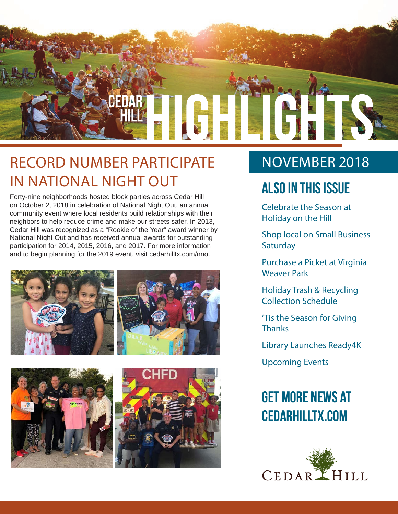

### RECORD NUMBER PARTICIPATE IN NATIONAL NIGHT OUT

Forty-nine neighborhoods hosted block parties across Cedar Hill on October 2, 2018 in celebration of National Night Out, an annual community event where local residents build relationships with their neighbors to help reduce crime and make our streets safer. In 2013, Cedar Hill was recognized as a "Rookie of the Year" award winner by National Night Out and has received annual awards for outstanding participation for 2014, 2015, 2016, and 2017. For more information and to begin planning for the 2019 event, visit cedarhilltx.com/nno.





### NOVEMBER 2018

### **Also In this Issue**

Celebrate the Season at Holiday on the Hill

Shop local on Small Business **Saturday** 

Purchase a Picket at Virginia Weaver Park

Holiday Trash & Recycling Collection Schedule

'Tis the Season for Giving **Thanks** 

Library Launches Ready4K

Upcoming Events

### **Get more news at cedarhilltx.com**

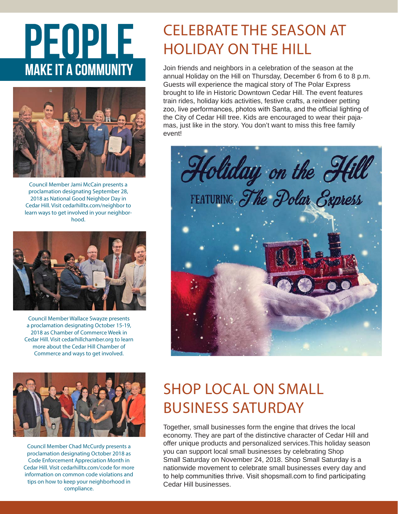# PEOPLE **MAKE IT A COMMUNITY**



Council Member Jami McCain presents a proclamation designating September 28, 2018 as National Good Neighbor Day in Cedar Hill. Visit cedarhilltx.com/neighbor to learn ways to get involved in your neighborhood.



Council Member Wallace Swayze presents a proclamation designating October 15-19, 2018 as Chamber of Commerce Week in Cedar Hill. Visit cedarhillchamber.org to learn more about the Cedar Hill Chamber of Commerce and ways to get involved.



Council Member Chad McCurdy presents a proclamation designating October 2018 as Code Enforcement Appreciation Month in Cedar Hill. Visit cedarhilltx.com/code for more information on common code violations and tips on how to keep your neighborhood in compliance.

### CELEBRATE THE SEASON AT HOLIDAY ON THE HILL

Join friends and neighbors in a celebration of the season at the annual Holiday on the Hill on Thursday, December 6 from 6 to 8 p.m. Guests will experience the magical story of The Polar Express brought to life in Historic Downtown Cedar Hill. The event features train rides, holiday kids activities, festive crafts, a reindeer petting zoo, live performances, photos with Santa, and the official lighting of the City of Cedar Hill tree. Kids are encouraged to wear their pajamas, just like in the story. You don't want to miss this free family event!



### SHOP LOCAL ON SMALL BUSINESS SATURDAY

Together, small businesses form the engine that drives the local economy. They are part of the distinctive character of Cedar Hill and offer unique products and personalized services.This holiday season you can support local small businesses by celebrating Shop Small Saturday on November 24, 2018. Shop Small Saturday is a nationwide movement to celebrate small businesses every day and to help communities thrive. Visit shopsmall.com to find participating Cedar Hill businesses.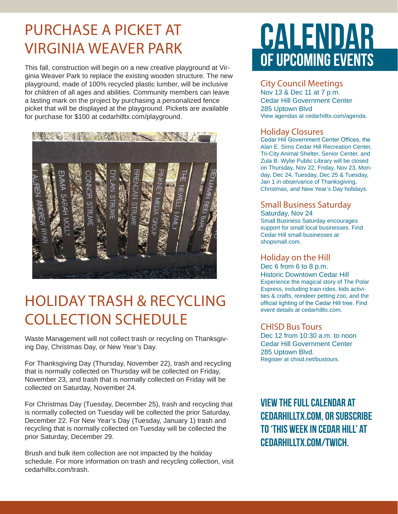### PURCHASE A PICKET AT VIRGINIA WEAVER PARK

This fall, construction will begin on a new creative playground at Virginia Weaver Park to replace the existing wooden structure. The new playground, made of 100% recycled plastic lumber, will be inclusive for children of all ages and abilities. Community members can leave a lasting mark on the project by purchasing a personalized fence picket that will be displayed at the playground. Pickets are available for purchase for \$100 at cedarhilltx.com/playground.



### HOLIDAY TRASH & RECYCLING COLLECTION SCHEDULE

Waste Management will not collect trash or recycling on Thanksgiving Day, Christmas Day, or New Year's Day.

For Thanksgiving Day (Thursday, November 22), trash and recycling that is normally collected on Thursday will be collected on Friday, November 23, and trash that is normally collected on Friday will be collected on Saturday, November 24.

For Christmas Day (Tuesday, December 25), trash and recycling that is normally collected on Tuesday will be collected the prior Saturday, December 22. For New Year's Day (Tuesday, January 1) trash and recycling that is normally collected on Tuesday will be collected the prior Saturday, December 29.

Brush and bulk item collection are not impacted by the holiday schedule. For more information on trash and recycling collection, visit cedarhilltx.com/trash.

## **CALENDAR** OF UPCOMING EVENTS

#### City Council Meetings

Nov 13 & Dec 11 at 7 p.m. Cedar Hill Government Center 285 Uptown Blvd View agendas at cedarhilltx.com/agenda.

#### Holiday Closures

Cedar Hill Government Center Offices, the Alan E. Sims Cedar Hill Recreation Center, Tri-City Animal Shelter, Senior Center, and Zula B. Wylie Public Library will be closed on Thursday, Nov 22, Friday, Nov 23, Monday, Dec 24, Tuesday, Dec 25 & Tuesday, Jan 1 in observance of Thanksgiving, Christmas, and New Year's Day holidays.

#### Small Business Saturday Saturday, Nov 24

Small Business Saturday encourages support for small local businesses. Find Cedar Hill small businesses at shopsmall.com.

#### Holiday on the Hill

Dec 6 from 6 to 8 p.m. Historic Downtown Cedar Hill Experience the magical story of The Polar Express, including train rides, kids activities & crafts, reindeer petting zoo, and the official lighting of the Cedar Hill tree. Find event details at cedarhilltx.com.

#### CHISD Bus Tours

Dec 12 from 10:30 a.m. to noon Cedar Hill Government Center 285 Uptown Blvd. Register at chisd.net/bustours.

**View the full calendar at cedarhilltx.com, or subscribe to 'This Week in Cedar Hill' at cedarhilltx.com/twich.**